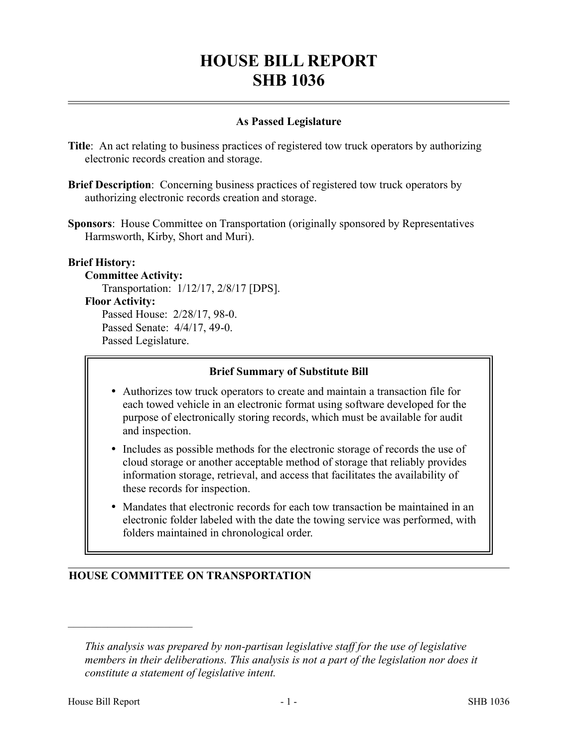# **HOUSE BILL REPORT SHB 1036**

## **As Passed Legislature**

- **Title**: An act relating to business practices of registered tow truck operators by authorizing electronic records creation and storage.
- **Brief Description**: Concerning business practices of registered tow truck operators by authorizing electronic records creation and storage.
- **Sponsors**: House Committee on Transportation (originally sponsored by Representatives Harmsworth, Kirby, Short and Muri).

### **Brief History:**

#### **Committee Activity:**

Transportation: 1/12/17, 2/8/17 [DPS].

#### **Floor Activity:**

Passed House: 2/28/17, 98-0. Passed Senate: 4/4/17, 49-0. Passed Legislature.

#### **Brief Summary of Substitute Bill**

- Authorizes tow truck operators to create and maintain a transaction file for each towed vehicle in an electronic format using software developed for the purpose of electronically storing records, which must be available for audit and inspection.
- Includes as possible methods for the electronic storage of records the use of cloud storage or another acceptable method of storage that reliably provides information storage, retrieval, and access that facilitates the availability of these records for inspection.
- Mandates that electronic records for each tow transaction be maintained in an electronic folder labeled with the date the towing service was performed, with folders maintained in chronological order.

# **HOUSE COMMITTEE ON TRANSPORTATION**

––––––––––––––––––––––

*This analysis was prepared by non-partisan legislative staff for the use of legislative members in their deliberations. This analysis is not a part of the legislation nor does it constitute a statement of legislative intent.*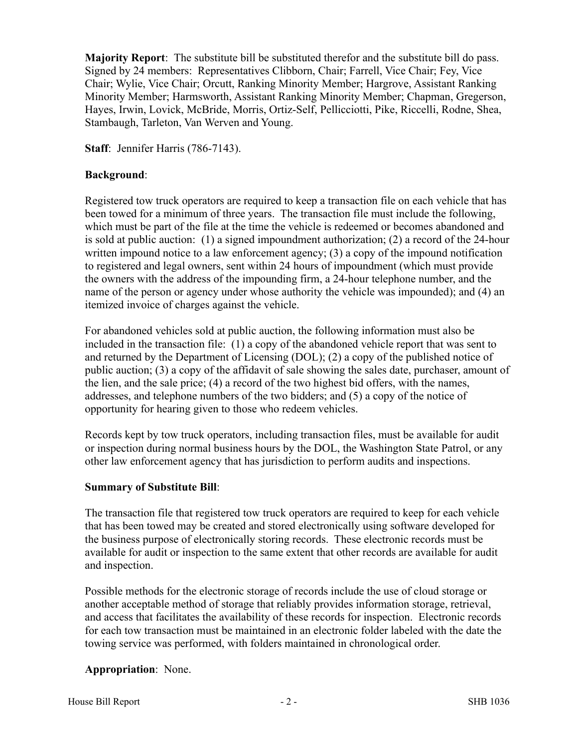**Majority Report**: The substitute bill be substituted therefor and the substitute bill do pass. Signed by 24 members: Representatives Clibborn, Chair; Farrell, Vice Chair; Fey, Vice Chair; Wylie, Vice Chair; Orcutt, Ranking Minority Member; Hargrove, Assistant Ranking Minority Member; Harmsworth, Assistant Ranking Minority Member; Chapman, Gregerson, Hayes, Irwin, Lovick, McBride, Morris, Ortiz-Self, Pellicciotti, Pike, Riccelli, Rodne, Shea, Stambaugh, Tarleton, Van Werven and Young.

**Staff**: Jennifer Harris (786-7143).

## **Background**:

Registered tow truck operators are required to keep a transaction file on each vehicle that has been towed for a minimum of three years. The transaction file must include the following, which must be part of the file at the time the vehicle is redeemed or becomes abandoned and is sold at public auction: (1) a signed impoundment authorization; (2) a record of the 24-hour written impound notice to a law enforcement agency; (3) a copy of the impound notification to registered and legal owners, sent within 24 hours of impoundment (which must provide the owners with the address of the impounding firm, a 24-hour telephone number, and the name of the person or agency under whose authority the vehicle was impounded); and (4) an itemized invoice of charges against the vehicle.

For abandoned vehicles sold at public auction, the following information must also be included in the transaction file: (1) a copy of the abandoned vehicle report that was sent to and returned by the Department of Licensing (DOL); (2) a copy of the published notice of public auction; (3) a copy of the affidavit of sale showing the sales date, purchaser, amount of the lien, and the sale price; (4) a record of the two highest bid offers, with the names, addresses, and telephone numbers of the two bidders; and (5) a copy of the notice of opportunity for hearing given to those who redeem vehicles.

Records kept by tow truck operators, including transaction files, must be available for audit or inspection during normal business hours by the DOL, the Washington State Patrol, or any other law enforcement agency that has jurisdiction to perform audits and inspections.

# **Summary of Substitute Bill**:

The transaction file that registered tow truck operators are required to keep for each vehicle that has been towed may be created and stored electronically using software developed for the business purpose of electronically storing records. These electronic records must be available for audit or inspection to the same extent that other records are available for audit and inspection.

Possible methods for the electronic storage of records include the use of cloud storage or another acceptable method of storage that reliably provides information storage, retrieval, and access that facilitates the availability of these records for inspection. Electronic records for each tow transaction must be maintained in an electronic folder labeled with the date the towing service was performed, with folders maintained in chronological order.

# **Appropriation**: None.